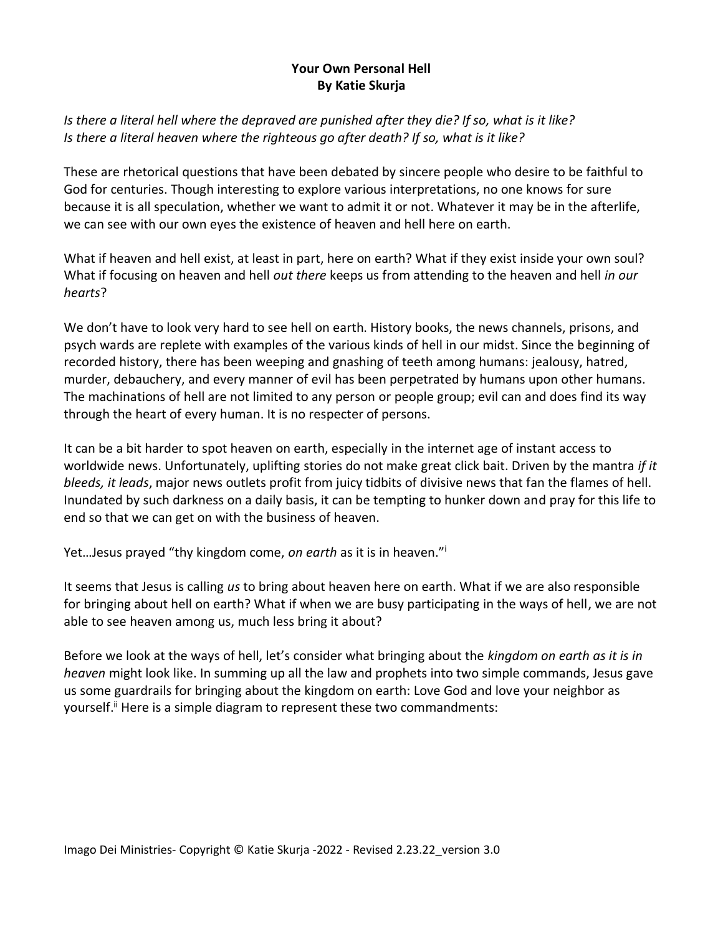## **Your Own Personal Hell By Katie Skurja**

*Is there a literal hell where the depraved are punished after they die? If so, what is it like? Is there a literal heaven where the righteous go after death? If so, what is it like?*

These are rhetorical questions that have been debated by sincere people who desire to be faithful to God for centuries. Though interesting to explore various interpretations, no one knows for sure because it is all speculation, whether we want to admit it or not. Whatever it may be in the afterlife, we can see with our own eyes the existence of heaven and hell here on earth.

What if heaven and hell exist, at least in part, here on earth? What if they exist inside your own soul? What if focusing on heaven and hell *out there* keeps us from attending to the heaven and hell *in our hearts*?

We don't have to look very hard to see hell on earth. History books, the news channels, prisons, and psych wards are replete with examples of the various kinds of hell in our midst. Since the beginning of recorded history, there has been weeping and gnashing of teeth among humans: jealousy, hatred, murder, debauchery, and every manner of evil has been perpetrated by humans upon other humans. The machinations of hell are not limited to any person or people group; evil can and does find its way through the heart of every human. It is no respecter of persons.

It can be a bit harder to spot heaven on earth, especially in the internet age of instant access to worldwide news. Unfortunately, uplifting stories do not make great click bait. Driven by the mantra *if it bleeds, it leads*, major news outlets profit from juicy tidbits of divisive news that fan the flames of hell. Inundated by such darkness on a daily basis, it can be tempting to hunker down and pray for this life to end so that we can get on with the business of heaven.

Yet…Jesus prayed "thy kingdom come, *on earth* as it is in heaven."<sup>i</sup>

It seems that Jesus is calling *us* to bring about heaven here on earth. What if we are also responsible for bringing about hell on earth? What if when we are busy participating in the ways of hell, we are not able to see heaven among us, much less bring it about?

Before we look at the ways of hell, let's consider what bringing about the *kingdom on earth as it is in heaven* might look like. In summing up all the law and prophets into two simple commands, Jesus gave us some guardrails for bringing about the kingdom on earth: Love God and love your neighbor as yourself.<sup>ii</sup> Here is a simple diagram to represent these two commandments: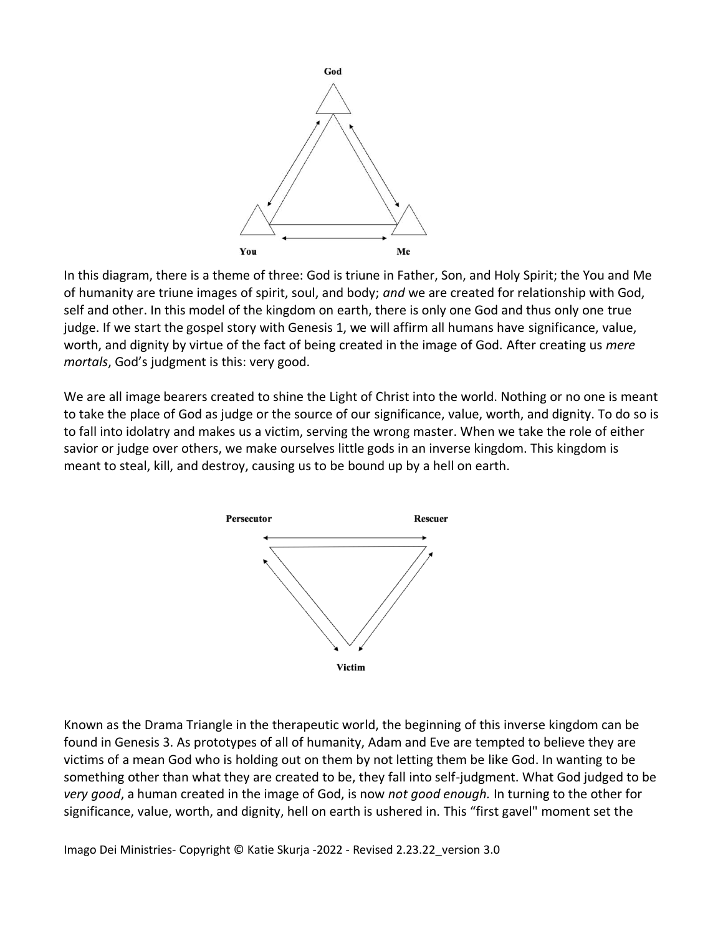

In this diagram, there is a theme of three: God is triune in Father, Son, and Holy Spirit; the You and Me of humanity are triune images of spirit, soul, and body; *and* we are created for relationship with God, self and other. In this model of the kingdom on earth, there is only one God and thus only one true judge. If we start the gospel story with Genesis 1, we will affirm all humans have significance, value, worth, and dignity by virtue of the fact of being created in the image of God. After creating us *mere mortals*, God's judgment is this: very good.

We are all image bearers created to shine the Light of Christ into the world. Nothing or no one is meant to take the place of God as judge or the source of our significance, value, worth, and dignity. To do so is to fall into idolatry and makes us a victim, serving the wrong master. When we take the role of either savior or judge over others, we make ourselves little gods in an inverse kingdom. This kingdom is meant to steal, kill, and destroy, causing us to be bound up by a hell on earth.



Known as the Drama Triangle in the therapeutic world, the beginning of this inverse kingdom can be found in Genesis 3. As prototypes of all of humanity, Adam and Eve are tempted to believe they are victims of a mean God who is holding out on them by not letting them be like God. In wanting to be something other than what they are created to be, they fall into self-judgment. What God judged to be *very good*, a human created in the image of God, is now *not good enough.* In turning to the other for significance, value, worth, and dignity, hell on earth is ushered in. This "first gavel" moment set the

Imago Dei Ministries- Copyright © Katie Skurja -2022 - Revised 2.23.22\_version 3.0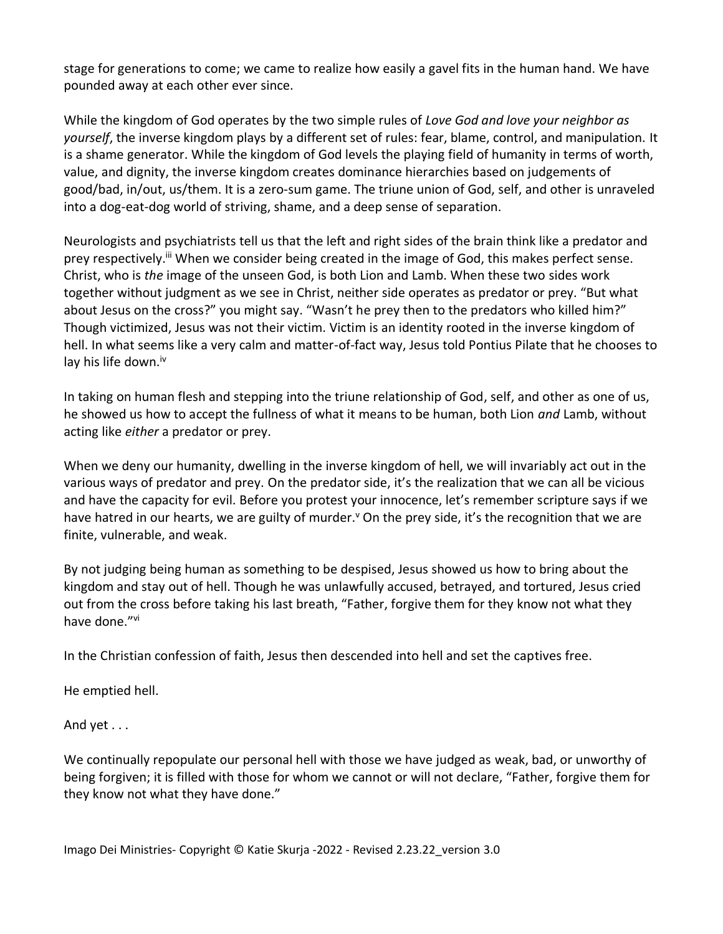stage for generations to come; we came to realize how easily a gavel fits in the human hand. We have pounded away at each other ever since.

While the kingdom of God operates by the two simple rules of *Love God and love your neighbor as yourself*, the inverse kingdom plays by a different set of rules: fear, blame, control, and manipulation. It is a shame generator. While the kingdom of God levels the playing field of humanity in terms of worth, value, and dignity, the inverse kingdom creates dominance hierarchies based on judgements of good/bad, in/out, us/them. It is a zero-sum game. The triune union of God, self, and other is unraveled into a dog-eat-dog world of striving, shame, and a deep sense of separation.

Neurologists and psychiatrists tell us that the left and right sides of the brain think like a predator and prey respectively.<sup>ii</sup> When we consider being created in the image of God, this makes perfect sense. Christ, who is *the* image of the unseen God, is both Lion and Lamb. When these two sides work together without judgment as we see in Christ, neither side operates as predator or prey. "But what about Jesus on the cross?" you might say. "Wasn't he prey then to the predators who killed him?" Though victimized, Jesus was not their victim. Victim is an identity rooted in the inverse kingdom of hell. In what seems like a very calm and matter-of-fact way, Jesus told Pontius Pilate that he chooses to lay his life down.<sup>iv</sup>

In taking on human flesh and stepping into the triune relationship of God, self, and other as one of us, he showed us how to accept the fullness of what it means to be human, both Lion *and* Lamb, without acting like *either* a predator or prey.

When we deny our humanity, dwelling in the inverse kingdom of hell, we will invariably act out in the various ways of predator and prey. On the predator side, it's the realization that we can all be vicious and have the capacity for evil. Before you protest your innocence, let's remember scripture says if we have hatred in our hearts, we are guilty of murder.<sup>v</sup> On the prey side, it's the recognition that we are finite, vulnerable, and weak.

By not judging being human as something to be despised, Jesus showed us how to bring about the kingdom and stay out of hell. Though he was unlawfully accused, betrayed, and tortured, Jesus cried out from the cross before taking his last breath, "Father, forgive them for they know not what they have done."<sup>vi</sup>

In the Christian confession of faith, Jesus then descended into hell and set the captives free.

He emptied hell.

And yet . . .

We continually repopulate our personal hell with those we have judged as weak, bad, or unworthy of being forgiven; it is filled with those for whom we cannot or will not declare, "Father, forgive them for they know not what they have done."

Imago Dei Ministries- Copyright © Katie Skurja -2022 - Revised 2.23.22\_version 3.0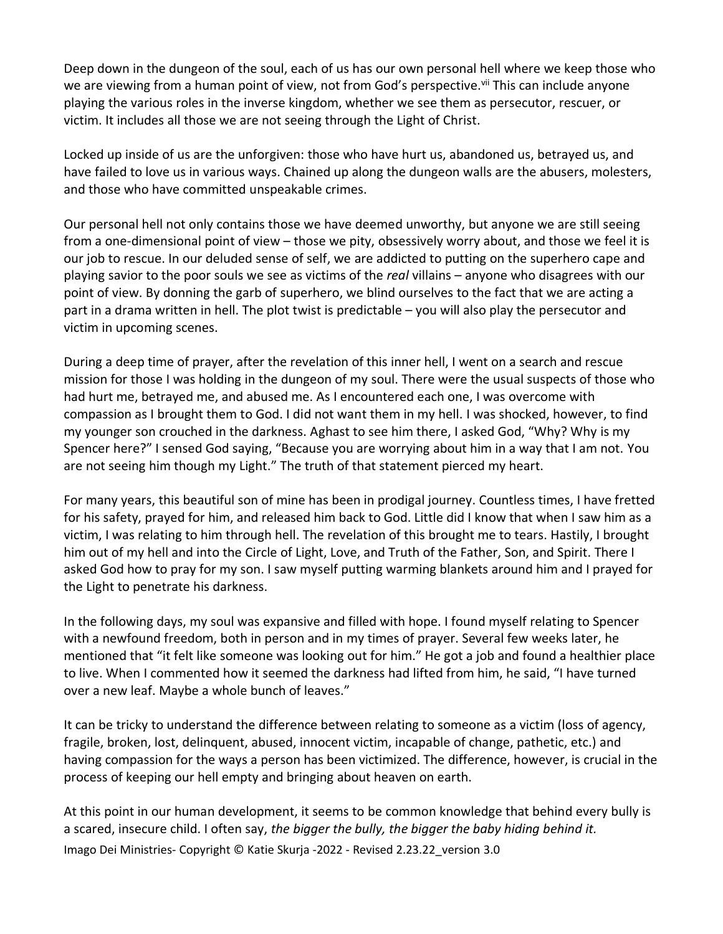Deep down in the dungeon of the soul, each of us has our own personal hell where we keep those who we are viewing from a human point of view, not from God's perspective.<sup>vii</sup> This can include anyone playing the various roles in the inverse kingdom, whether we see them as persecutor, rescuer, or victim. It includes all those we are not seeing through the Light of Christ.

Locked up inside of us are the unforgiven: those who have hurt us, abandoned us, betrayed us, and have failed to love us in various ways. Chained up along the dungeon walls are the abusers, molesters, and those who have committed unspeakable crimes.

Our personal hell not only contains those we have deemed unworthy, but anyone we are still seeing from a one-dimensional point of view – those we pity, obsessively worry about, and those we feel it is our job to rescue. In our deluded sense of self, we are addicted to putting on the superhero cape and playing savior to the poor souls we see as victims of the *real* villains – anyone who disagrees with our point of view. By donning the garb of superhero, we blind ourselves to the fact that we are acting a part in a drama written in hell. The plot twist is predictable – you will also play the persecutor and victim in upcoming scenes.

During a deep time of prayer, after the revelation of this inner hell, I went on a search and rescue mission for those I was holding in the dungeon of my soul. There were the usual suspects of those who had hurt me, betrayed me, and abused me. As I encountered each one, I was overcome with compassion as I brought them to God. I did not want them in my hell. I was shocked, however, to find my younger son crouched in the darkness. Aghast to see him there, I asked God, "Why? Why is my Spencer here?" I sensed God saying, "Because you are worrying about him in a way that I am not. You are not seeing him though my Light." The truth of that statement pierced my heart.

For many years, this beautiful son of mine has been in prodigal journey. Countless times, I have fretted for his safety, prayed for him, and released him back to God. Little did I know that when I saw him as a victim, I was relating to him through hell. The revelation of this brought me to tears. Hastily, I brought him out of my hell and into the Circle of Light, Love, and Truth of the Father, Son, and Spirit. There I asked God how to pray for my son. I saw myself putting warming blankets around him and I prayed for the Light to penetrate his darkness.

In the following days, my soul was expansive and filled with hope. I found myself relating to Spencer with a newfound freedom, both in person and in my times of prayer. Several few weeks later, he mentioned that "it felt like someone was looking out for him." He got a job and found a healthier place to live. When I commented how it seemed the darkness had lifted from him, he said, "I have turned over a new leaf. Maybe a whole bunch of leaves."

It can be tricky to understand the difference between relating to someone as a victim (loss of agency, fragile, broken, lost, delinquent, abused, innocent victim, incapable of change, pathetic, etc.) and having compassion for the ways a person has been victimized. The difference, however, is crucial in the process of keeping our hell empty and bringing about heaven on earth.

Imago Dei Ministries- Copyright © Katie Skurja -2022 - Revised 2.23.22\_version 3.0 At this point in our human development, it seems to be common knowledge that behind every bully is a scared, insecure child. I often say, *the bigger the bully, the bigger the baby hiding behind it.*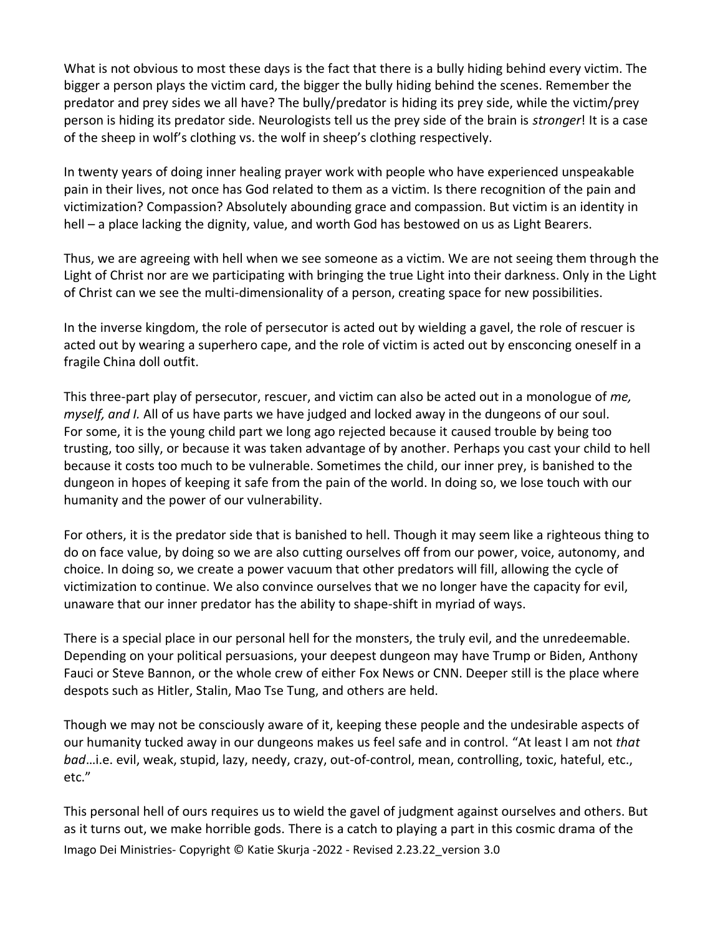What is not obvious to most these days is the fact that there is a bully hiding behind every victim. The bigger a person plays the victim card, the bigger the bully hiding behind the scenes. Remember the predator and prey sides we all have? The bully/predator is hiding its prey side, while the victim/prey person is hiding its predator side. Neurologists tell us the prey side of the brain is *stronger*! It is a case of the sheep in wolf's clothing vs. the wolf in sheep's clothing respectively.

In twenty years of doing inner healing prayer work with people who have experienced unspeakable pain in their lives, not once has God related to them as a victim. Is there recognition of the pain and victimization? Compassion? Absolutely abounding grace and compassion. But victim is an identity in hell – a place lacking the dignity, value, and worth God has bestowed on us as Light Bearers.

Thus, we are agreeing with hell when we see someone as a victim. We are not seeing them through the Light of Christ nor are we participating with bringing the true Light into their darkness. Only in the Light of Christ can we see the multi-dimensionality of a person, creating space for new possibilities.

In the inverse kingdom, the role of persecutor is acted out by wielding a gavel, the role of rescuer is acted out by wearing a superhero cape, and the role of victim is acted out by ensconcing oneself in a fragile China doll outfit.

This three-part play of persecutor, rescuer, and victim can also be acted out in a monologue of *me, myself, and I.* All of us have parts we have judged and locked away in the dungeons of our soul. For some, it is the young child part we long ago rejected because it caused trouble by being too trusting, too silly, or because it was taken advantage of by another. Perhaps you cast your child to hell because it costs too much to be vulnerable. Sometimes the child, our inner prey, is banished to the dungeon in hopes of keeping it safe from the pain of the world. In doing so, we lose touch with our humanity and the power of our vulnerability.

For others, it is the predator side that is banished to hell. Though it may seem like a righteous thing to do on face value, by doing so we are also cutting ourselves off from our power, voice, autonomy, and choice. In doing so, we create a power vacuum that other predators will fill, allowing the cycle of victimization to continue. We also convince ourselves that we no longer have the capacity for evil, unaware that our inner predator has the ability to shape-shift in myriad of ways.

There is a special place in our personal hell for the monsters, the truly evil, and the unredeemable. Depending on your political persuasions, your deepest dungeon may have Trump or Biden, Anthony Fauci or Steve Bannon, or the whole crew of either Fox News or CNN. Deeper still is the place where despots such as Hitler, Stalin, Mao Tse Tung, and others are held.

Though we may not be consciously aware of it, keeping these people and the undesirable aspects of our humanity tucked away in our dungeons makes us feel safe and in control. "At least I am not *that bad*…i.e. evil, weak, stupid, lazy, needy, crazy, out-of-control, mean, controlling, toxic, hateful, etc., etc."

Imago Dei Ministries- Copyright © Katie Skurja -2022 - Revised 2.23.22\_version 3.0 This personal hell of ours requires us to wield the gavel of judgment against ourselves and others. But as it turns out, we make horrible gods. There is a catch to playing a part in this cosmic drama of the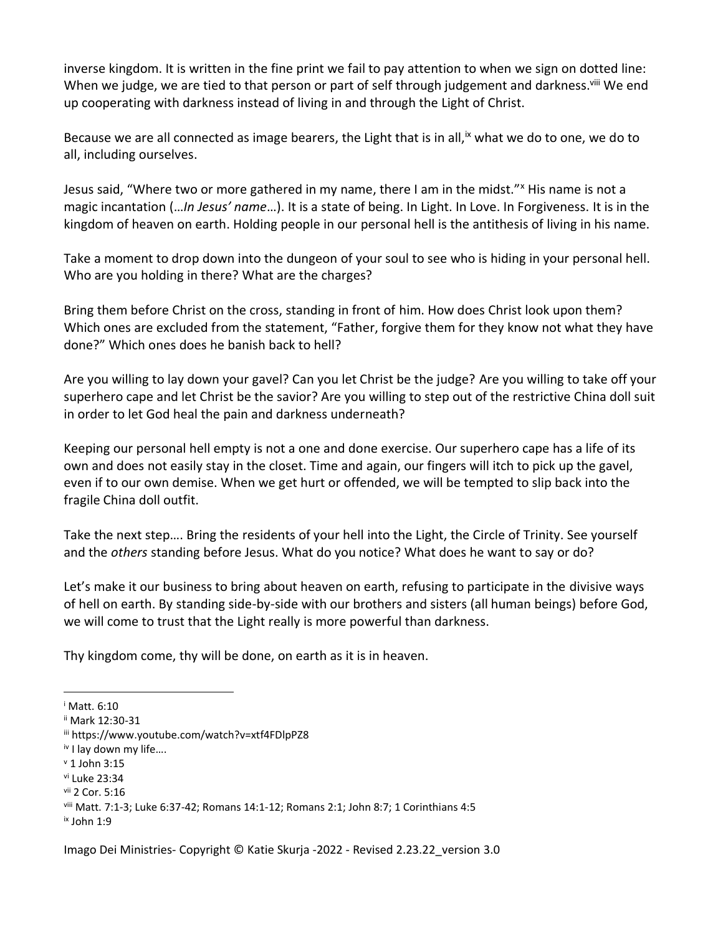inverse kingdom. It is written in the fine print we fail to pay attention to when we sign on dotted line: When we judge, we are tied to that person or part of self through judgement and darkness.<sup>viii</sup> We end up cooperating with darkness instead of living in and through the Light of Christ.

Because we are all connected as image bearers, the Light that is in all,  $\dot{x}$  what we do to one, we do to all, including ourselves.

Jesus said, "Where two or more gathered in my name, there I am in the midst." His name is not a magic incantation (…*In Jesus' name*…). It is a state of being. In Light. In Love. In Forgiveness. It is in the kingdom of heaven on earth. Holding people in our personal hell is the antithesis of living in his name.

Take a moment to drop down into the dungeon of your soul to see who is hiding in your personal hell. Who are you holding in there? What are the charges?

Bring them before Christ on the cross, standing in front of him. How does Christ look upon them? Which ones are excluded from the statement, "Father, forgive them for they know not what they have done?" Which ones does he banish back to hell?

Are you willing to lay down your gavel? Can you let Christ be the judge? Are you willing to take off your superhero cape and let Christ be the savior? Are you willing to step out of the restrictive China doll suit in order to let God heal the pain and darkness underneath?

Keeping our personal hell empty is not a one and done exercise. Our superhero cape has a life of its own and does not easily stay in the closet. Time and again, our fingers will itch to pick up the gavel, even if to our own demise. When we get hurt or offended, we will be tempted to slip back into the fragile China doll outfit.

Take the next step…. Bring the residents of your hell into the Light, the Circle of Trinity. See yourself and the *others* standing before Jesus. What do you notice? What does he want to say or do?

Let's make it our business to bring about heaven on earth, refusing to participate in the divisive ways of hell on earth. By standing side-by-side with our brothers and sisters (all human beings) before God, we will come to trust that the Light really is more powerful than darkness.

Thy kingdom come, thy will be done, on earth as it is in heaven.

<sup>i</sup> Matt. 6:10

ii Mark 12:30-31

iii https://www.youtube.com/watch?v=xtf4FDlpPZ8

iv I lay down my life….

 $v$  1 John 3:15

vi Luke 23:34

vii 2 Cor. 5:16

viii Matt. 7:1-3; Luke 6:37-42; Romans 14:1-12; Romans 2:1; John 8:7; 1 Corinthians 4:5

ix John 1:9